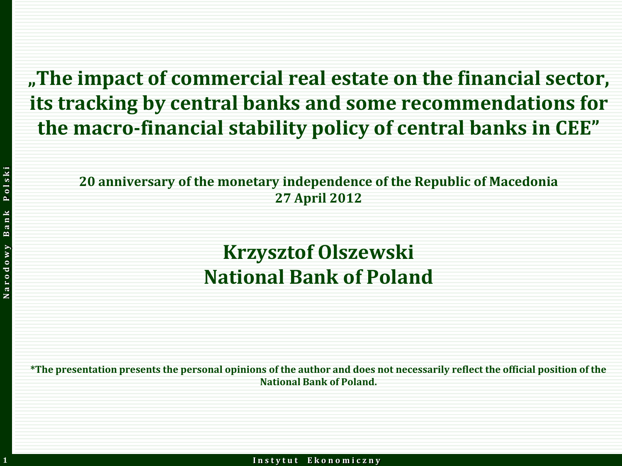**"The impact of commercial real estate on the financial sector, its tracking by central banks and some recommendations for the macro-financial stability policy of central banks in CEE"**

**20 anniversary of the monetary independence of the Republic of Macedonia 27 April 2012**

#### **Krzysztof Olszewski National Bank of Poland**

**\*The presentation presents the personal opinions of the author and does not necessarily reflect the official position of the National Bank of Poland.**

**1**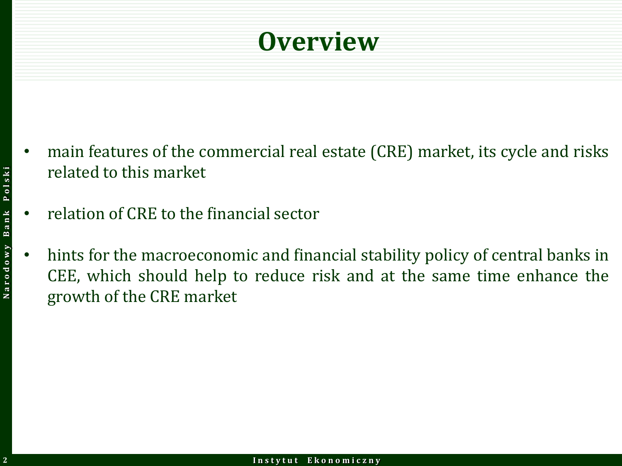#### **Overview**

- main features of the commercial real estate (CRE) market, its cycle and risks related to this market
- relation of CRE to the financial sector
- hints for the macroeconomic and financial stability policy of central banks in CEE, which should help to reduce risk and at the same time enhance the growth of the CRE market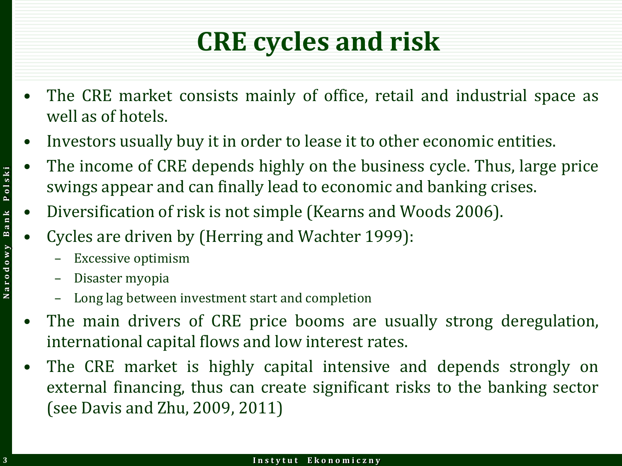# **CRE cycles and risk**

- The CRE market consists mainly of office, retail and industrial space as well as of hotels.
- Investors usually buy it in order to lease it to other economic entities.
- The income of CRE depends highly on the business cycle. Thus, large price swings appear and can finally lead to economic and banking crises.
- Diversification of risk is not simple (Kearns and Woods 2006).
- Cycles are driven by (Herring and Wachter 1999):
	- Excessive optimism
	- Disaster myopia
	- Long lag between investment start and completion
- The main drivers of CRE price booms are usually strong deregulation, international capital flows and low interest rates.
- The CRE market is highly capital intensive and depends strongly on external financing, thus can create significant risks to the banking sector (see Davis and Zhu, 2009, 2011)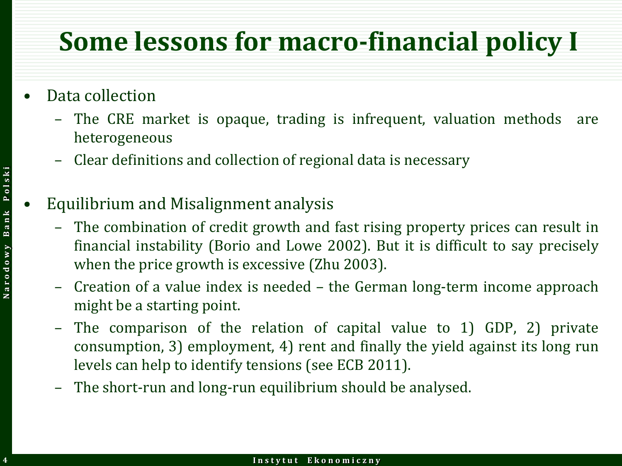### **Some lessons for macro-financial policy I**

- Data collection
	- The CRE market is opaque, trading is infrequent, valuation methods are heterogeneous
	- Clear definitions and collection of regional data is necessary
	- Equilibrium and Misalignment analysis
		- The combination of credit growth and fast rising property prices can result in financial instability (Borio and Lowe 2002). But it is difficult to say precisely when the price growth is excessive (Zhu 2003).
		- Creation of a value index is needed the German long-term income approach might be a starting point.
		- The comparison of the relation of capital value to 1) GDP, 2) private consumption, 3) employment, 4) rent and finally the yield against its long run levels can help to identify tensions (see ECB 2011).
		- The short-run and long-run equilibrium should be analysed.

**4**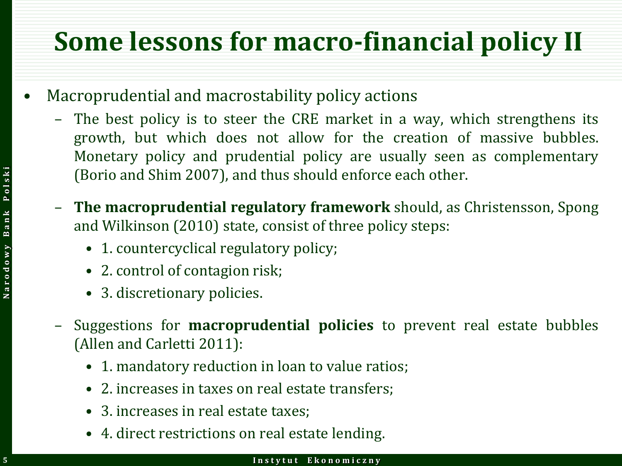## **Some lessons for macro-financial policy II**

- Macroprudential and macrostability policy actions
	- The best policy is to steer the CRE market in a way, which strengthens its growth, but which does not allow for the creation of massive bubbles. Monetary policy and prudential policy are usually seen as complementary (Borio and Shim 2007), and thus should enforce each other.
	- **The macroprudential regulatory framework** should, as Christensson, Spong and Wilkinson (2010) state, consist of three policy steps:
		- 1. countercyclical regulatory policy;
		- 2. control of contagion risk;
		- 3. discretionary policies.
	- Suggestions for **macroprudential policies** to prevent real estate bubbles (Allen and Carletti 2011):
		- 1. mandatory reduction in loan to value ratios;
		- 2. increases in taxes on real estate transfers;
		- 3. increases in real estate taxes:
		- 4. direct restrictions on real estate lending.